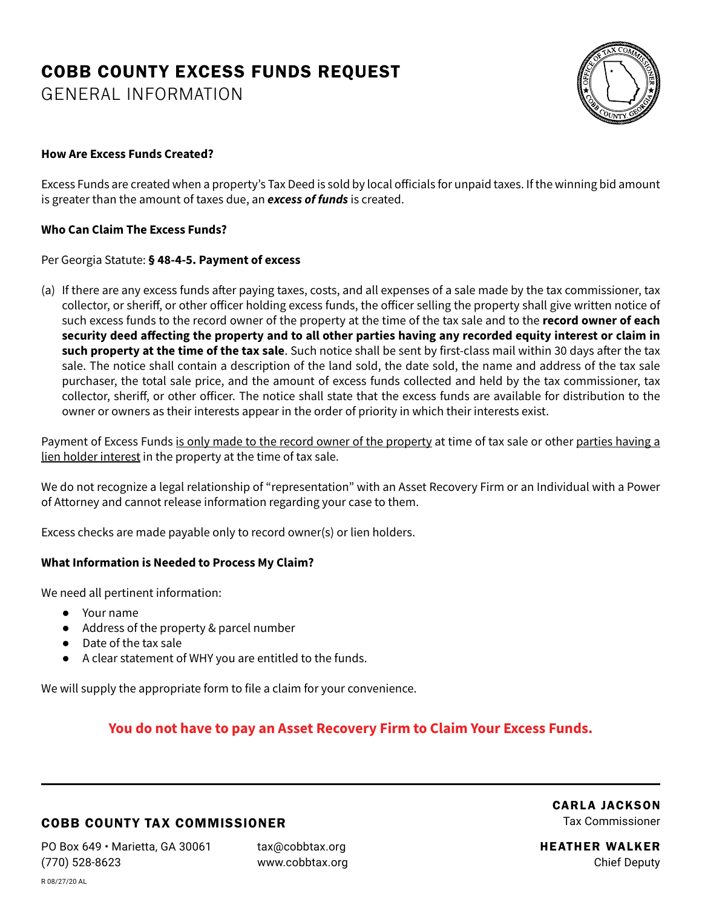# COBB COUNTY EXCESS FUNDS REQUEST

GENERAL INFORMATION



### **How Are Excess Funds Created?**

Excess Funds are created when a property's Tax Deed is sold by local officials for unpaid taxes. If the winning bid amount is greater than the amount of taxes due, an *excess of funds* is created.

### **Who Can Claim The Excess Funds?**

#### Per Georgia Statute: **§ 48-4-5. Payment of excess**

(a) If there are any excess funds after paying taxes, costs, and all expenses of a sale made by the tax commissioner, tax collector, or sheriff, or other officer holding excess funds, the officer selling the property shall give written notice of such excess funds to the record owner of the property at the time of the tax sale and to the **record owner of each security deed affecting the property and to all other parties having any recorded equity interest or claim in such property at the time of the tax sale**. Such notice shall be sent by first-class mail within 30 days after the tax sale. The notice shall contain a description of the land sold, the date sold, the name and address of the tax sale purchaser, the total sale price, and the amount of excess funds collected and held by the tax commissioner, tax collector, sheriff, or other officer. The notice shall state that the excess funds are available for distribution to the owner or owners as their interests appear in the order of priority in which their interests exist.

Payment of Excess Funds is only made to the record owner of the property at time of tax sale or other parties having a lien holder interest in the property at the time of tax sale.

We do not recognize a legal relationship of "representation" with an Asset Recovery Firm or an Individual with a Power of Attorney and cannot release information regarding your case to them.

Excess checks are made payable only to record owner(s) or lien holders.

### **What Information is Needed to Process My Claim?**

We need all pertinent information:

- Your name
- Address of the property & parcel number
- Date of the tax sale
- A clear statement of WHY you are entitled to the funds.

We will supply the appropriate form to file a claim for your convenience.

# **You do not have to pay an Asset Recovery Firm to Claim Your Excess Funds.**

## COBB COUNTY TAX COMMISSIONER

PO Box 649 • Marietta, GA 30061 (770) 528-8623

tax@cobbtax.org www.cobbtax.org CARLA JACKSON Tax Commissioner

HEATHER WALKER Chief Deputy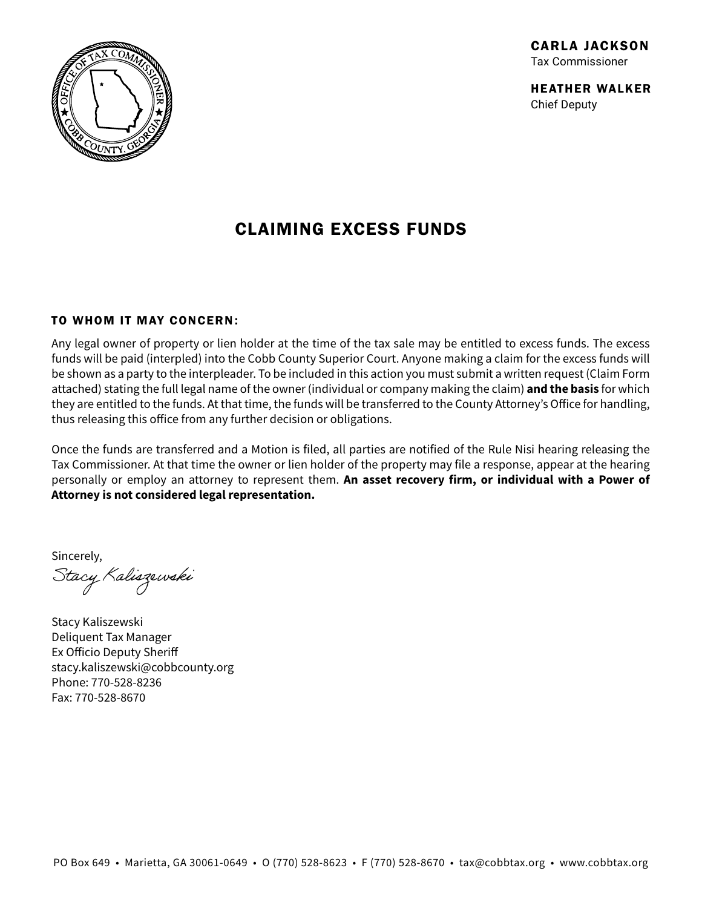

# CLAIMING EXCESS FUNDS

### TO WHOM IT MAY CONCERN:

Any legal owner of property or lien holder at the time of the tax sale may be entitled to excess funds. The excess funds will be paid (interpled) into the Cobb County Superior Court. Anyone making a claim for the excess funds will be shown as a party to the interpleader. To be included in this action you must submit a written request (Claim Form attached) stating the full legal name of the owner (individual or company making the claim) **and the basis** for which they are entitled to the funds. At that time, the funds will be transferred to the County Attorney's Office for handling, thus releasing this office from any further decision or obligations.

Once the funds are transferred and a Motion is filed, all parties are notified of the Rule Nisi hearing releasing the Tax Commissioner. At that time the owner or lien holder of the property may file a response, appear at the hearing personally or employ an attorney to represent them. **An asset recovery firm, or individual with a Power of Attorney is not considered legal representation.**

Sincerely,

Stacy Kaliszewski

Stacy Kaliszewski Deliquent Tax Manager Ex Officio Deputy Sheriff stacy.kaliszewski@cobbcounty.org Phone: 770-528-8236 Fax: 770-528-8670